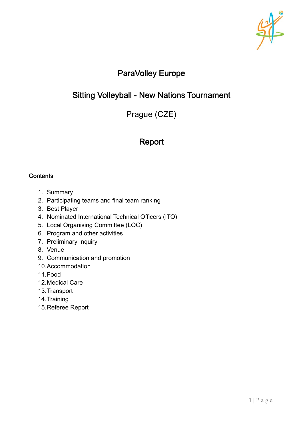

# ParaVolley Europe

# Sitting Volleyball - New Nations Tournament

Prague (CZE)

# Report

### **Contents**

- 1. Summary
- 2. Participating teams and final team ranking
- 3. Best Player
- 4. Nominated International Technical Officers (ITO)
- 5. Local Organising Committee (LOC)
- 6. Program and other activities
- 7. Preliminary Inquiry
- 8. Venue
- 9. Communication and promotion
- 10.Accommodation
- 11.Food
- 12.Medical Care
- 13.Transport
- 14.Training
- 15.Referee Report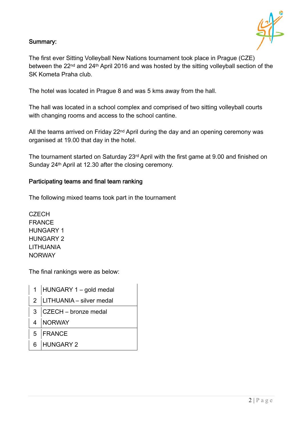# Summary:



The first ever Sitting Volleyball New Nations tournament took place in Prague (CZE) between the 22<sup>nd</sup> and 24<sup>th</sup> April 2016 and was hosted by the sitting volleyball section of the SK Kometa Praha club.

The hotel was located in Prague 8 and was 5 kms away from the hall.

The hall was located in a school complex and comprised of two sitting volleyball courts with changing rooms and access to the school cantine.

All the teams arrived on Friday 22<sup>nd</sup> April during the day and an opening ceremony was organised at 19.00 that day in the hotel.

The tournament started on Saturday 23rd April with the first game at 9.00 and finished on Sunday 24<sup>th</sup> April at 12.30 after the closing ceremony.

### Participating teams and final team ranking

The following mixed teams took part in the tournament

**CZECH** FRANCE HUNGARY 1 HUNGARY 2 LITHUANIA **NORWAY** 

The final rankings were as below:

| 1   HUNGARY 1 - gold medal   |
|------------------------------|
| 2   LITHUANIA - silver medal |
| $3$ CZECH – bronze medal     |
| 4   NORWAY                   |
| 5 FRANCE                     |
| 6 HUNGARY 2                  |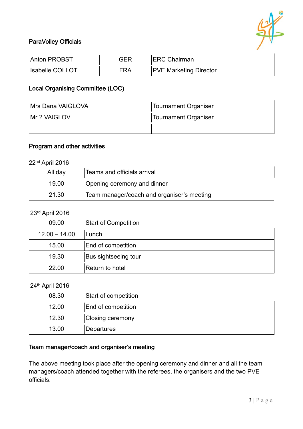

# ParaVolley Officials

| Anton PROBST           | GER | <b>ERC Chairman</b>           |
|------------------------|-----|-------------------------------|
| <b>Isabelle COLLOT</b> | FRA | <b>PVE Marketing Director</b> |

# Local Organising Committee (LOC)

| Mrs Dana VAIGLOVA | <b>Tournament Organiser</b> |
|-------------------|-----------------------------|
| Mr ? VAIGLOV      | <b>Tournament Organiser</b> |
|                   |                             |

## Program and other activities

22nd April 2016

| All day | Teams and officials arrival                |
|---------|--------------------------------------------|
| 19.00   | Opening ceremony and dinner                |
| 21.30   | Team manager/coach and organiser's meeting |

#### 23rd April 2016

| 09.00           | <b>Start of Competition</b> |
|-----------------|-----------------------------|
| $12.00 - 14.00$ | Lunch                       |
| 15.00           | End of competition          |
| 19.30           | Bus sightseeing tour        |
| 22.00           | Return to hotel             |

#### 24th April 2016

| 08.30 | <b>Start of competition</b> |
|-------|-----------------------------|
| 12.00 | End of competition          |
| 12.30 | <b>Closing ceremony</b>     |
| 13.00 | Departures                  |

## Team manager/coach and organiser's meeting

The above meeting took place after the opening ceremony and dinner and all the team managers/coach attended together with the referees, the organisers and the two PVE officials.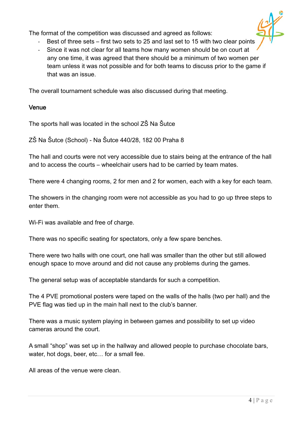The format of the competition was discussed and agreed as follows:



- Best of three sets first two sets to 25 and last set to 15 with two clear points
- ‐ Since it was not clear for all teams how many women should be on court at any one time, it was agreed that there should be a minimum of two women per team unless it was not possible and for both teams to discuss prior to the game if that was an issue.

The overall tournament schedule was also discussed during that meeting.

# Venue

The sports hall was located in the school ZŠ Na Šutce

ZŠ Na Šutce (School) - Na Šutce 440/28, 182 00 Praha 8

The hall and courts were not very accessible due to stairs being at the entrance of the hall and to access the courts – wheelchair users had to be carried by team mates.

There were 4 changing rooms, 2 for men and 2 for women, each with a key for each team.

The showers in the changing room were not accessible as you had to go up three steps to enter them.

Wi-Fi was available and free of charge.

There was no specific seating for spectators, only a few spare benches.

There were two halls with one court, one hall was smaller than the other but still allowed enough space to move around and did not cause any problems during the games.

The general setup was of acceptable standards for such a competition.

The 4 PVE promotional posters were taped on the walls of the halls (two per hall) and the PVE flag was tied up in the main hall next to the club's banner.

There was a music system playing in between games and possibility to set up video cameras around the court.

A small "shop" was set up in the hallway and allowed people to purchase chocolate bars, water, hot dogs, beer, etc... for a small fee.

All areas of the venue were clean.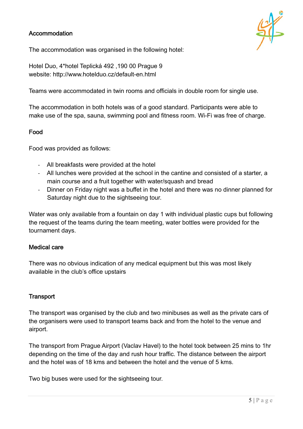## Accommodation



The accommodation was organised in the following hotel:

Hotel Duo, 4\*hotel Teplická 492 ,190 00 Prague 9 website: http://www.hotelduo.cz/default-en.html

Teams were accommodated in twin rooms and officials in double room for single use.

The accommodation in both hotels was of a good standard. Participants were able to make use of the spa, sauna, swimming pool and fitness room. Wi-Fi was free of charge.

#### Food

Food was provided as follows:

- ‐ All breakfasts were provided at the hotel
- ‐ All lunches were provided at the school in the cantine and consisted of a starter, a main course and a fruit together with water/squash and bread
- ‐ Dinner on Friday night was a buffet in the hotel and there was no dinner planned for Saturday night due to the sightseeing tour.

Water was only available from a fountain on day 1 with individual plastic cups but following the request of the teams during the team meeting, water bottles were provided for the tournament days.

#### Medical care

There was no obvious indication of any medical equipment but this was most likely available in the club's office upstairs

### **Transport**

The transport was organised by the club and two minibuses as well as the private cars of the organisers were used to transport teams back and from the hotel to the venue and airport.

The transport from Prague Airport (Vaclav Havel) to the hotel took between 25 mins to 1hr depending on the time of the day and rush hour traffic. The distance between the airport and the hotel was of 18 kms and between the hotel and the venue of 5 kms.

Two big buses were used for the sightseeing tour.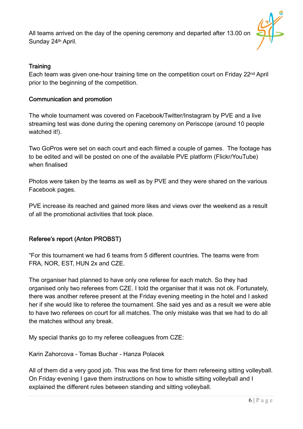All teams arrived on the day of the opening ceremony and departed after 13.00 on Sunday 24th April.



# **Training**

Each team was given one-hour training time on the competition court on Friday 22nd April prior to the beginning of the competition.

## Communication and promotion

The whole tournament was covered on Facebook/Twitter/Instagram by PVE and a live streaming test was done during the opening ceremony on Periscope (around 10 people watched it!).

Two GoPros were set on each court and each filmed a couple of games. The footage has to be edited and will be posted on one of the available PVE platform (Flickr/YouTube) when finalised

Photos were taken by the teams as well as by PVE and they were shared on the various Facebook pages.

PVE increase its reached and gained more likes and views over the weekend as a result of all the promotional activities that took place.

# Referee's report (Anton PROBST)

"For this tournament we had 6 teams from 5 different countries. The teams were from FRA, NOR, EST, HUN 2x and CZE.

The organiser had planned to have only one referee for each match. So they had organised only two referees from CZE. I told the organiser that it was not ok. Fortunately, there was another referee present at the Friday evening meeting in the hotel and I asked her if she would like to referee the tournament. She said yes and as a result we were able to have two referees on court for all matches. The only mistake was that we had to do all the matches without any break.

My special thanks go to my referee colleagues from CZE:

Karin Zahorcova - Tomas Buchar - Hanza Polacek

All of them did a very good job. This was the first time for them refereeing sitting volleyball. On Friday evening I gave them instructions on how to whistle sitting volleyball and I explained the different rules between standing and sitting volleyball.